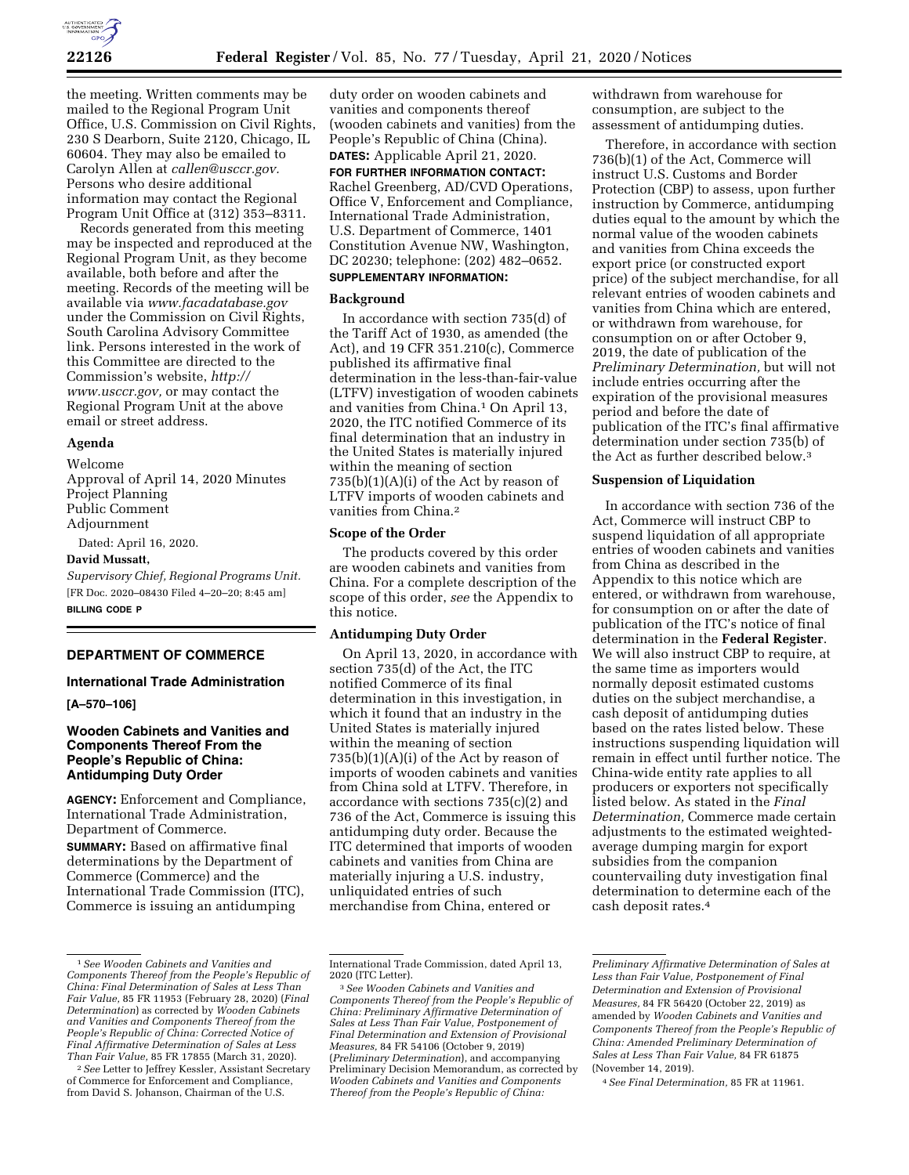

the meeting. Written comments may be mailed to the Regional Program Unit Office, U.S. Commission on Civil Rights, 230 S Dearborn, Suite 2120, Chicago, IL 60604. They may also be emailed to Carolyn Allen at *[callen@usccr.gov.](mailto:callen@usccr.gov)*  Persons who desire additional information may contact the Regional Program Unit Office at (312) 353–8311.

Records generated from this meeting may be inspected and reproduced at the Regional Program Unit, as they become available, both before and after the meeting. Records of the meeting will be available via *[www.facadatabase.gov](http://www.facadatabase.gov)*  under the Commission on Civil Rights, South Carolina Advisory Committee link. Persons interested in the work of this Committee are directed to the Commission's website, *[http://](http://www.usccr.gov) [www.usccr.gov,](http://www.usccr.gov)* or may contact the Regional Program Unit at the above email or street address.

# **Agenda**

Welcome Approval of April 14, 2020 Minutes Project Planning Public Comment Adjournment

Dated: April 16, 2020.

#### **David Mussatt,**

*Supervisory Chief, Regional Programs Unit.*  [FR Doc. 2020–08430 Filed 4–20–20; 8:45 am] **BILLING CODE P** 

#### **DEPARTMENT OF COMMERCE**

#### **International Trade Administration**

#### **[A–570–106]**

# **Wooden Cabinets and Vanities and Components Thereof From the People's Republic of China: Antidumping Duty Order**

**AGENCY:** Enforcement and Compliance, International Trade Administration, Department of Commerce.

**SUMMARY:** Based on affirmative final determinations by the Department of Commerce (Commerce) and the International Trade Commission (ITC), Commerce is issuing an antidumping

duty order on wooden cabinets and vanities and components thereof (wooden cabinets and vanities) from the People's Republic of China (China). **DATES:** Applicable April 21, 2020. **FOR FURTHER INFORMATION CONTACT:**  Rachel Greenberg, AD/CVD Operations, Office V, Enforcement and Compliance, International Trade Administration, U.S. Department of Commerce, 1401 Constitution Avenue NW, Washington, DC 20230; telephone: (202) 482–0652. **SUPPLEMENTARY INFORMATION:** 

# **Background**

In accordance with section 735(d) of the Tariff Act of 1930, as amended (the Act), and 19 CFR 351.210(c), Commerce published its affirmative final determination in the less-than-fair-value (LTFV) investigation of wooden cabinets and vanities from China.1 On April 13, 2020, the ITC notified Commerce of its final determination that an industry in the United States is materially injured within the meaning of section  $735(b)(1)(A)(i)$  of the Act by reason of LTFV imports of wooden cabinets and vanities from China.2

#### **Scope of the Order**

The products covered by this order are wooden cabinets and vanities from China. For a complete description of the scope of this order, *see* the Appendix to this notice.

# **Antidumping Duty Order**

On April 13, 2020, in accordance with section 735(d) of the Act, the ITC notified Commerce of its final determination in this investigation, in which it found that an industry in the United States is materially injured within the meaning of section 735(b)(1)(A)(i) of the Act by reason of imports of wooden cabinets and vanities from China sold at LTFV. Therefore, in accordance with sections 735(c)(2) and 736 of the Act, Commerce is issuing this antidumping duty order. Because the ITC determined that imports of wooden cabinets and vanities from China are materially injuring a U.S. industry, unliquidated entries of such merchandise from China, entered or

withdrawn from warehouse for consumption, are subject to the assessment of antidumping duties.

Therefore, in accordance with section 736(b)(1) of the Act, Commerce will instruct U.S. Customs and Border Protection (CBP) to assess, upon further instruction by Commerce, antidumping duties equal to the amount by which the normal value of the wooden cabinets and vanities from China exceeds the export price (or constructed export price) of the subject merchandise, for all relevant entries of wooden cabinets and vanities from China which are entered, or withdrawn from warehouse, for consumption on or after October 9, 2019, the date of publication of the *Preliminary Determination,* but will not include entries occurring after the expiration of the provisional measures period and before the date of publication of the ITC's final affirmative determination under section 735(b) of the Act as further described below.3

#### **Suspension of Liquidation**

In accordance with section 736 of the Act, Commerce will instruct CBP to suspend liquidation of all appropriate entries of wooden cabinets and vanities from China as described in the Appendix to this notice which are entered, or withdrawn from warehouse, for consumption on or after the date of publication of the ITC's notice of final determination in the **Federal Register**. We will also instruct CBP to require, at the same time as importers would normally deposit estimated customs duties on the subject merchandise, a cash deposit of antidumping duties based on the rates listed below. These instructions suspending liquidation will remain in effect until further notice. The China-wide entity rate applies to all producers or exporters not specifically listed below. As stated in the *Final Determination,* Commerce made certain adjustments to the estimated weightedaverage dumping margin for export subsidies from the companion countervailing duty investigation final determination to determine each of the cash deposit rates.4

<sup>1</sup>*See Wooden Cabinets and Vanities and Components Thereof from the People's Republic of China: Final Determination of Sales at Less Than Fair Value,* 85 FR 11953 (February 28, 2020) (*Final Determination*) as corrected by *Wooden Cabinets and Vanities and Components Thereof from the People's Republic of China: Corrected Notice of Final Affirmative Determination of Sales at Less Than Fair Value,* 85 FR 17855 (March 31, 2020).

<sup>2</sup>*See* Letter to Jeffrey Kessler, Assistant Secretary of Commerce for Enforcement and Compliance, from David S. Johanson, Chairman of the U.S.

International Trade Commission, dated April 13,

<sup>2020 (</sup>ITC Letter). 3*See Wooden Cabinets and Vanities and Components Thereof from the People's Republic of China: Preliminary Affirmative Determination of Sales at Less Than Fair Value, Postponement of Final Determination and Extension of Provisional Measures,* 84 FR 54106 (October 9, 2019) (*Preliminary Determination*), and accompanying Preliminary Decision Memorandum, as corrected by *Wooden Cabinets and Vanities and Components Thereof from the People's Republic of China:* 

*Preliminary Affirmative Determination of Sales at Less than Fair Value, Postponement of Final Determination and Extension of Provisional Measures,* 84 FR 56420 (October 22, 2019) as amended by *Wooden Cabinets and Vanities and Components Thereof from the People's Republic of China: Amended Preliminary Determination of Sales at Less Than Fair Value,* 84 FR 61875 (November 14, 2019).

<sup>4</sup>*See Final Determination,* 85 FR at 11961.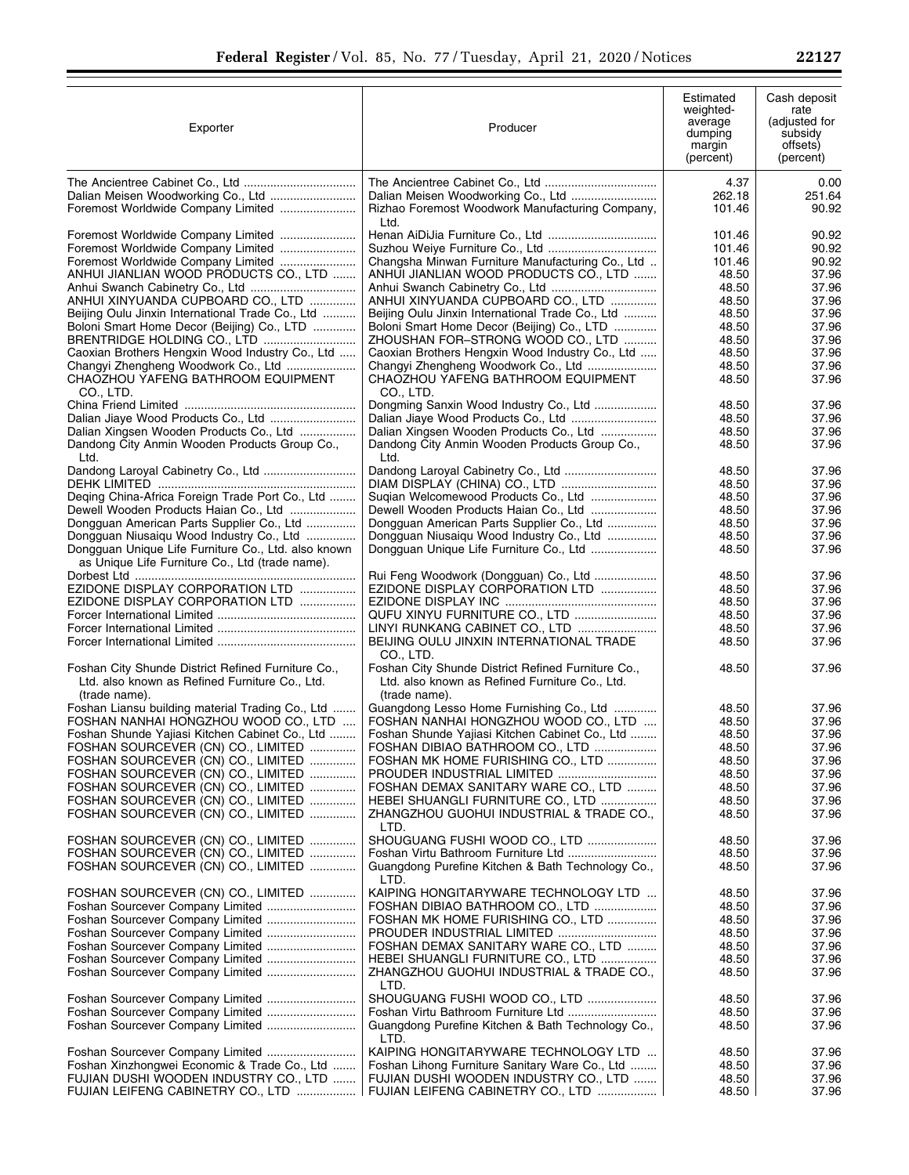| Exporter                                                                                               | Producer                                                                                                          | Estimated<br>weighted-<br>average<br>dumping<br>margin<br>(percent) | Cash deposit<br>rate<br>(adjusted for<br>subsidy<br>offsets)<br>(percent) |
|--------------------------------------------------------------------------------------------------------|-------------------------------------------------------------------------------------------------------------------|---------------------------------------------------------------------|---------------------------------------------------------------------------|
|                                                                                                        |                                                                                                                   | 4.37                                                                | 0.00                                                                      |
| Foremost Worldwide Company Limited                                                                     | Rizhao Foremost Woodwork Manufacturing Company,<br>Ltd.                                                           | 262.18<br>101.46                                                    | 251.64<br>90.92                                                           |
| Foremost Worldwide Company Limited                                                                     | Henan AiDiJia Furniture Co., Ltd                                                                                  | 101.46                                                              | 90.92                                                                     |
|                                                                                                        |                                                                                                                   | 101.46                                                              | 90.92                                                                     |
|                                                                                                        | Changsha Minwan Furniture Manufacturing Co., Ltd                                                                  | 101.46                                                              | 90.92                                                                     |
| ANHUI JIANLIAN WOOD PRODUCTS CO., LTD                                                                  | ANHUI JIANLIAN WOOD PRODUCTS CO., LTD                                                                             | 48.50                                                               | 37.96                                                                     |
|                                                                                                        |                                                                                                                   | 48.50                                                               | 37.96                                                                     |
| ANHUI XINYUANDA CUPBOARD CO., LTD<br>Beijing Oulu Jinxin International Trade Co., Ltd                  | ANHUI XINYUANDA CUPBOARD CO., LTD<br>Beijing Oulu Jinxin International Trade Co., Ltd                             | 48.50<br>48.50                                                      | 37.96<br>37.96                                                            |
| Boloni Smart Home Decor (Beijing) Co., LTD                                                             | Boloni Smart Home Decor (Beijing) Co., LTD                                                                        | 48.50                                                               | 37.96                                                                     |
|                                                                                                        | ZHOUSHAN FOR-STRONG WOOD CO., LTD                                                                                 | 48.50                                                               | 37.96                                                                     |
| Caoxian Brothers Hengxin Wood Industry Co., Ltd                                                        | Caoxian Brothers Hengxin Wood Industry Co., Ltd                                                                   | 48.50                                                               | 37.96                                                                     |
| Changyi Zhengheng Woodwork Co., Ltd                                                                    | Changyi Zhengheng Woodwork Co., Ltd                                                                               | 48.50                                                               | 37.96                                                                     |
| CHAOZHOU YAFENG BATHROOM EQUIPMENT                                                                     | CHAOZHOU YAFENG BATHROOM EQUIPMENT                                                                                | 48.50                                                               | 37.96                                                                     |
| CO., LTD.                                                                                              | CO., LTD.                                                                                                         |                                                                     |                                                                           |
| Dalian Jiaye Wood Products Co., Ltd                                                                    | Dongming Sanxin Wood Industry Co., Ltd<br>Dalian Jiaye Wood Products Co., Ltd                                     | 48.50<br>48.50                                                      | 37.96<br>37.96                                                            |
| Dalian Xingsen Wooden Products Co., Ltd                                                                | Dalian Xingsen Wooden Products Co., Ltd                                                                           | 48.50                                                               | 37.96                                                                     |
| Dandong City Anmin Wooden Products Group Co.,<br>Ltd.                                                  | Dandong City Anmin Wooden Products Group Co.,<br>Ltd.                                                             | 48.50                                                               | 37.96                                                                     |
|                                                                                                        |                                                                                                                   | 48.50                                                               | 37.96                                                                     |
|                                                                                                        |                                                                                                                   | 48.50                                                               | 37.96                                                                     |
| Deging China-Africa Foreign Trade Port Co., Ltd<br>Dewell Wooden Products Haian Co., Ltd               | Sugian Welcomewood Products Co., Ltd<br>Dewell Wooden Products Haian Co., Ltd                                     | 48.50<br>48.50                                                      | 37.96<br>37.96                                                            |
| Dongguan American Parts Supplier Co., Ltd                                                              | Dongguan American Parts Supplier Co., Ltd                                                                         | 48.50                                                               | 37.96                                                                     |
| Dongguan Niusaiqu Wood Industry Co., Ltd                                                               | Dongguan Niusaiqu Wood Industry Co., Ltd                                                                          | 48.50                                                               | 37.96                                                                     |
| Dongguan Unique Life Furniture Co., Ltd. also known<br>as Unique Life Furniture Co., Ltd (trade name). | Dongguan Unique Life Furniture Co., Ltd                                                                           | 48.50                                                               | 37.96                                                                     |
|                                                                                                        | Rui Feng Woodwork (Dongguan) Co., Ltd                                                                             | 48.50                                                               | 37.96                                                                     |
| EZIDONE DISPLAY CORPORATION LTD                                                                        | EZIDONE DISPLAY CORPORATION LTD                                                                                   | 48.50                                                               | 37.96                                                                     |
| EZIDONE DISPLAY CORPORATION LTD                                                                        |                                                                                                                   | 48.50                                                               | 37.96                                                                     |
|                                                                                                        | QUFU XINYU FURNITURE CO., LTD                                                                                     | 48.50                                                               | 37.96                                                                     |
|                                                                                                        | LINYI RUNKANG CABINET CO., LTD<br>BEIJING OULU JINXIN INTERNATIONAL TRADE                                         | 48.50<br>48.50                                                      | 37.96<br>37.96                                                            |
| Foshan City Shunde District Refined Furniture Co.,<br>Ltd. also known as Refined Furniture Co., Ltd.   | CO., LTD.<br>Foshan City Shunde District Refined Furniture Co.,<br>Ltd. also known as Refined Furniture Co., Ltd. | 48.50                                                               | 37.96                                                                     |
| (trade name).                                                                                          | (trade name).                                                                                                     |                                                                     |                                                                           |
| Foshan Liansu building material Trading Co., Ltd                                                       | Guangdong Lesso Home Furnishing Co., Ltd                                                                          | 48.50                                                               | 37.96                                                                     |
| FOSHAN NANHAI HONGZHOU WOOD CO., LTD                                                                   | FOSHAN NANHAI HONGZHOU WOOD CO., LTD                                                                              | 48.50                                                               | 37.96                                                                     |
| Foshan Shunde Yajiasi Kitchen Cabinet Co., Ltd<br>FOSHAN SOURCEVER (CN) CO., LIMITED                   | Foshan Shunde Yajiasi Kitchen Cabinet Co., Ltd<br>FOSHAN DIBIAO BATHROOM CO., LTD                                 | 48.50<br>48.50                                                      | 37.96<br>37.96                                                            |
| FOSHAN SOURCEVER (CN) CO., LIMITED                                                                     | FOSHAN MK HOME FURISHING CO., LTD                                                                                 | 48.50                                                               | 37.96                                                                     |
| FOSHAN SOURCEVER (CN) CO., LIMITED                                                                     | PROUDER INDUSTRIAL LIMITED                                                                                        | 48.50                                                               | 37.96                                                                     |
| FOSHAN SOURCEVER (CN) CO., LIMITED                                                                     | FOSHAN DEMAX SANITARY WARE CO., LTD                                                                               | 48.50                                                               | 37.96                                                                     |
| FOSHAN SOURCEVER (CN) CO., LIMITED                                                                     | HEBEI SHUANGLI FURNITURE CO., LTD                                                                                 | 48.50                                                               | 37.96                                                                     |
| FOSHAN SOURCEVER (CN) CO., LIMITED                                                                     | ZHANGZHOU GUOHUI INDUSTRIAL & TRADE CO.,<br>LTD.                                                                  | 48.50                                                               | 37.96                                                                     |
| FOSHAN SOURCEVER (CN) CO., LIMITED                                                                     | SHOUGUANG FUSHI WOOD CO., LTD<br>Foshan Virtu Bathroom Furniture Ltd                                              | 48.50<br>48.50                                                      | 37.96                                                                     |
| FOSHAN SOURCEVER (CN) CO., LIMITED<br>FOSHAN SOURCEVER (CN) CO., LIMITED                               | Guangdong Purefine Kitchen & Bath Technology Co.,<br>LTD.                                                         | 48.50                                                               | 37.96<br>37.96                                                            |
| FOSHAN SOURCEVER (CN) CO., LIMITED                                                                     | KAIPING HONGITARYWARE TECHNOLOGY LTD                                                                              | 48.50                                                               | 37.96                                                                     |
|                                                                                                        | FOSHAN DIBIAO BATHROOM CO., LTD                                                                                   | 48.50                                                               | 37.96                                                                     |
| Foshan Sourcever Company Limited                                                                       | FOSHAN MK HOME FURISHING CO., LTD                                                                                 | 48.50                                                               | 37.96                                                                     |
| Foshan Sourcever Company Limited                                                                       |                                                                                                                   | 48.50                                                               | 37.96                                                                     |
|                                                                                                        | FOSHAN DEMAX SANITARY WARE CO., LTD                                                                               | 48.50                                                               | 37.96                                                                     |
| Foshan Sourcever Company Limited                                                                       | HEBEI SHUANGLI FURNITURE CO., LTD<br>ZHANGZHOU GUOHUI INDUSTRIAL & TRADE CO.,<br>LTD.                             | 48.50<br>48.50                                                      | 37.96<br>37.96                                                            |
| Foshan Sourcever Company Limited                                                                       | SHOUGUANG FUSHI WOOD CO., LTD                                                                                     | 48.50                                                               | 37.96                                                                     |
|                                                                                                        |                                                                                                                   | 48.50                                                               | 37.96                                                                     |
|                                                                                                        | Guangdong Purefine Kitchen & Bath Technology Co.,<br>LTD.                                                         | 48.50                                                               | 37.96                                                                     |
|                                                                                                        | KAIPING HONGITARYWARE TECHNOLOGY LTD                                                                              | 48.50                                                               | 37.96                                                                     |
| Foshan Xinzhongwei Economic & Trade Co., Ltd                                                           | Foshan Lihong Furniture Sanitary Ware Co., Ltd                                                                    | 48.50                                                               | 37.96                                                                     |
| FUJIAN DUSHI WOODEN INDUSTRY CO., LTD                                                                  | FUJIAN DUSHI WOODEN INDUSTRY CO., LTD                                                                             | 48.50                                                               | 37.96                                                                     |
| FUJIAN LEIFENG CABINETRY CO., LTD                                                                      | FUJIAN LEIFENG CABINETRY CO., LTD                                                                                 | 48.50                                                               | 37.96                                                                     |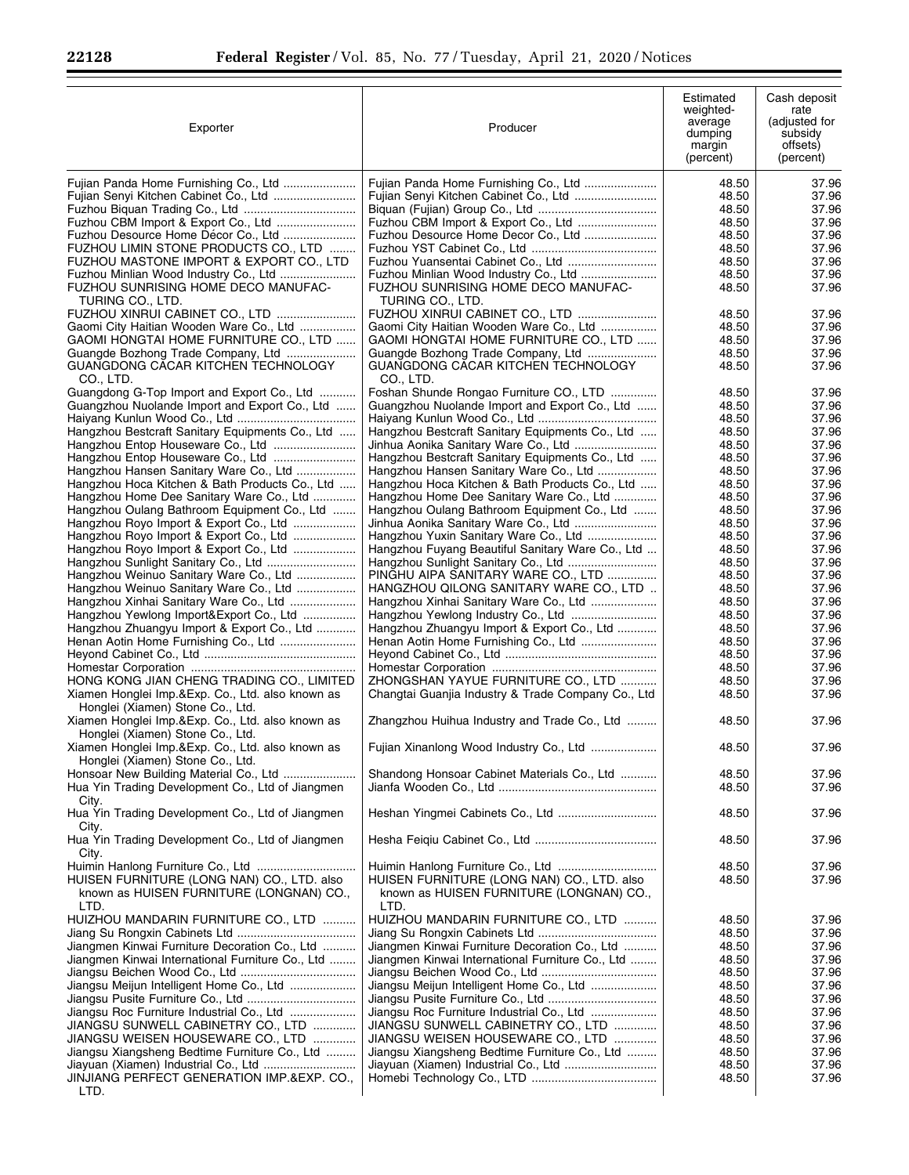Ξ

| Exporter                                                                                         | Producer                                                                                           | Estimated<br>weighted-<br>average<br>dumping<br>margin<br>(percent) | Cash deposit<br>rate<br>(adjusted for<br>subsidy<br>offsets)<br>(percent) |
|--------------------------------------------------------------------------------------------------|----------------------------------------------------------------------------------------------------|---------------------------------------------------------------------|---------------------------------------------------------------------------|
| Fujian Panda Home Furnishing Co., Ltd                                                            |                                                                                                    | 48.50                                                               | 37.96                                                                     |
| Fujian Senyi Kitchen Cabinet Co., Ltd                                                            |                                                                                                    | 48.50<br>48.50                                                      | 37.96<br>37.96                                                            |
| Fuzhou CBM Import & Export Co., Ltd                                                              |                                                                                                    | 48.50                                                               | 37.96                                                                     |
| Fuzhou Desource Home Décor Co., Ltd                                                              | Fuzhou Desource Home Decor Co., Ltd                                                                | 48.50                                                               | 37.96                                                                     |
| FUZHOU LIMIN STONE PRODUCTS CO., LTD                                                             |                                                                                                    | 48.50                                                               | 37.96                                                                     |
| FUZHOU MASTONE IMPORT & EXPORT CO., LTD                                                          |                                                                                                    | 48.50                                                               | 37.96                                                                     |
| Fuzhou Minlian Wood Industry Co., Ltd<br>FUZHOU SUNRISING HOME DECO MANUFAC-<br>TURING CO., LTD. | FUZHOU SUNRISING HOME DECO MANUFAC-<br>TURING CO., LTD.                                            | 48.50<br>48.50                                                      | 37.96<br>37.96                                                            |
| FUZHOU XINRUI CABINET CO., LTD                                                                   | FUZHOU XINRUI CABINET CO., LTD                                                                     | 48.50                                                               | 37.96                                                                     |
| Gaomi City Haitian Wooden Ware Co., Ltd                                                          | Gaomi City Haitian Wooden Ware Co., Ltd                                                            | 48.50                                                               | 37.96                                                                     |
| GAOMI HONGTAI HOME FURNITURE CO., LTD                                                            | GAOMI HONGTAI HOME FURNITURE CO., LTD                                                              | 48.50                                                               | 37.96                                                                     |
| Guangde Bozhong Trade Company, Ltd                                                               | Guangde Bozhong Trade Company, Ltd                                                                 | 48.50                                                               | 37.96                                                                     |
| GUANGDONG CACAR KITCHEN TECHNOLOGY<br>CO., LTD.<br>Guangdong G-Top Import and Export Co., Ltd    | GUANGDONG CACAR KITCHEN TECHNOLOGY<br>CO., LTD.<br>Foshan Shunde Rongao Furniture CO., LTD         | 48.50<br>48.50                                                      | 37.96<br>37.96                                                            |
| Guangzhou Nuolande Import and Export Co., Ltd                                                    | Guangzhou Nuolande Import and Export Co., Ltd                                                      | 48.50                                                               | 37.96                                                                     |
|                                                                                                  |                                                                                                    | 48.50                                                               | 37.96                                                                     |
| Hangzhou Bestcraft Sanitary Equipments Co., Ltd                                                  | Hangzhou Bestcraft Sanitary Equipments Co., Ltd                                                    | 48.50                                                               | 37.96                                                                     |
| Hangzhou Entop Houseware Co., Ltd                                                                |                                                                                                    | 48.50                                                               | 37.96                                                                     |
| Hangzhou Entop Houseware Co., Ltd                                                                | Hangzhou Bestcraft Sanitary Equipments Co., Ltd                                                    | 48.50                                                               | 37.96                                                                     |
| Hangzhou Hansen Sanitary Ware Co., Ltd<br>Hangzhou Hoca Kitchen & Bath Products Co., Ltd         | Hangzhou Hansen Sanitary Ware Co., Ltd<br>Hangzhou Hoca Kitchen & Bath Products Co., Ltd           | 48.50<br>48.50                                                      | 37.96<br>37.96                                                            |
| Hangzhou Home Dee Sanitary Ware Co., Ltd                                                         | Hangzhou Home Dee Sanitary Ware Co., Ltd                                                           | 48.50                                                               | 37.96                                                                     |
| Hangzhou Oulang Bathroom Equipment Co., Ltd                                                      | Hangzhou Oulang Bathroom Equipment Co., Ltd                                                        | 48.50                                                               | 37.96                                                                     |
| Hangzhou Royo Import & Export Co., Ltd                                                           |                                                                                                    | 48.50                                                               | 37.96                                                                     |
| Hangzhou Royo Import & Export Co., Ltd                                                           | Hangzhou Yuxin Sanitary Ware Co., Ltd                                                              | 48.50                                                               | 37.96                                                                     |
| Hangzhou Royo Import & Export Co., Ltd                                                           | Hangzhou Fuyang Beautiful Sanitary Ware Co., Ltd                                                   | 48.50                                                               | 37.96                                                                     |
|                                                                                                  |                                                                                                    | 48.50                                                               | 37.96                                                                     |
| Hangzhou Weinuo Sanitary Ware Co., Ltd<br>Hangzhou Weinuo Sanitary Ware Co., Ltd                 | PINGHU AIPA SANITARY WARE CO., LTD<br>HANGZHOU QILONG SANITARY WARE CO., LTD                       | 48.50<br>48.50                                                      | 37.96<br>37.96                                                            |
| Hangzhou Xinhai Sanitary Ware Co., Ltd                                                           | Hangzhou Xinhai Sanitary Ware Co., Ltd                                                             | 48.50                                                               | 37.96                                                                     |
| Hangzhou Yewlong Import&Export Co., Ltd                                                          |                                                                                                    | 48.50                                                               | 37.96                                                                     |
| Hangzhou Zhuangyu Import & Export Co., Ltd                                                       | Hangzhou Zhuangyu Import & Export Co., Ltd                                                         | 48.50                                                               | 37.96                                                                     |
| Henan Aotin Home Furnishing Co., Ltd                                                             |                                                                                                    | 48.50                                                               | 37.96                                                                     |
|                                                                                                  |                                                                                                    | 48.50                                                               | 37.96                                                                     |
|                                                                                                  |                                                                                                    | 48.50                                                               | 37.96                                                                     |
| HONG KONG JIAN CHENG TRADING CO., LIMITED<br>Xiamen Honglei Imp.&Exp. Co., Ltd. also known as    | ZHONGSHAN YAYUE FURNITURE CO., LTD                                                                 | 48.50<br>48.50                                                      | 37.96<br>37.96                                                            |
| Honglei (Xiamen) Stone Co., Ltd.<br>Xiamen Honglei Imp.&Exp. Co., Ltd. also known as             | Changtai Guanjia Industry & Trade Company Co., Ltd<br>Zhangzhou Huihua Industry and Trade Co., Ltd | 48.50                                                               | 37.96                                                                     |
| Honglei (Xiamen) Stone Co., Ltd.<br>Xiamen Honglei Imp.&Exp. Co., Ltd. also known as             | Fujian Xinanlong Wood Industry Co., Ltd                                                            | 48.50                                                               | 37.96                                                                     |
| Honglei (Xiamen) Stone Co., Ltd.                                                                 |                                                                                                    |                                                                     |                                                                           |
| Honsoar New Building Material Co., Ltd<br>Hua Yin Trading Development Co., Ltd of Jiangmen       | Shandong Honsoar Cabinet Materials Co., Ltd                                                        | 48.50<br>48.50                                                      | 37.96<br>37.96                                                            |
| City.<br>Hua Yin Trading Development Co., Ltd of Jiangmen<br>City.                               |                                                                                                    | 48.50                                                               | 37.96                                                                     |
| Hua Yin Trading Development Co., Ltd of Jiangmen<br>City.                                        |                                                                                                    | 48.50                                                               | 37.96                                                                     |
|                                                                                                  |                                                                                                    | 48.50                                                               | 37.96                                                                     |
| HUISEN FURNITURE (LONG NAN) CO., LTD. also<br>known as HUISEN FURNITURE (LONGNAN) CO.,<br>LTD.   | HUISEN FURNITURE (LONG NAN) CO., LTD. also<br>known as HUISEN FURNITURE (LONGNAN) CO.,<br>LTD.     | 48.50                                                               | 37.96                                                                     |
| HUIZHOU MANDARIN FURNITURE CO., LTD                                                              | HUIZHOU MANDARIN FURNITURE CO., LTD                                                                | 48.50                                                               | 37.96                                                                     |
|                                                                                                  |                                                                                                    | 48.50                                                               | 37.96                                                                     |
| Jiangmen Kinwai Furniture Decoration Co., Ltd                                                    | Jiangmen Kinwai Furniture Decoration Co., Ltd                                                      | 48.50                                                               | 37.96                                                                     |
| Jiangmen Kinwai International Furniture Co., Ltd                                                 | Jiangmen Kinwai International Furniture Co., Ltd                                                   | 48.50                                                               | 37.96                                                                     |
|                                                                                                  |                                                                                                    | 48.50                                                               | 37.96                                                                     |
| Jiangsu Meijun Intelligent Home Co., Ltd                                                         | Jiangsu Meijun Intelligent Home Co., Ltd                                                           | 48.50<br>48.50                                                      | 37.96<br>37.96                                                            |
| Jiangsu Roc Furniture Industrial Co., Ltd                                                        | Jiangsu Roc Furniture Industrial Co., Ltd                                                          | 48.50                                                               | 37.96                                                                     |
| JIANGSU SUNWELL CABINETRY CO., LTD                                                               | JIANGSU SUNWELL CABINETRY CO., LTD                                                                 | 48.50                                                               | 37.96                                                                     |
| JIANGSU WEISEN HOUSEWARE CO., LTD                                                                | JIANGSU WEISEN HOUSEWARE CO., LTD                                                                  | 48.50                                                               | 37.96                                                                     |
| Jiangsu Xiangsheng Bedtime Furniture Co., Ltd                                                    | Jiangsu Xiangsheng Bedtime Furniture Co., Ltd                                                      | 48.50                                                               | 37.96                                                                     |
| Jiayuan (Xiamen) Industrial Co., Ltd<br>JINJIANG PERFECT GENERATION IMP.&EXP. CO.,<br>LTD.       |                                                                                                    | 48.50<br>48.50                                                      | 37.96<br>37.96                                                            |
|                                                                                                  |                                                                                                    |                                                                     |                                                                           |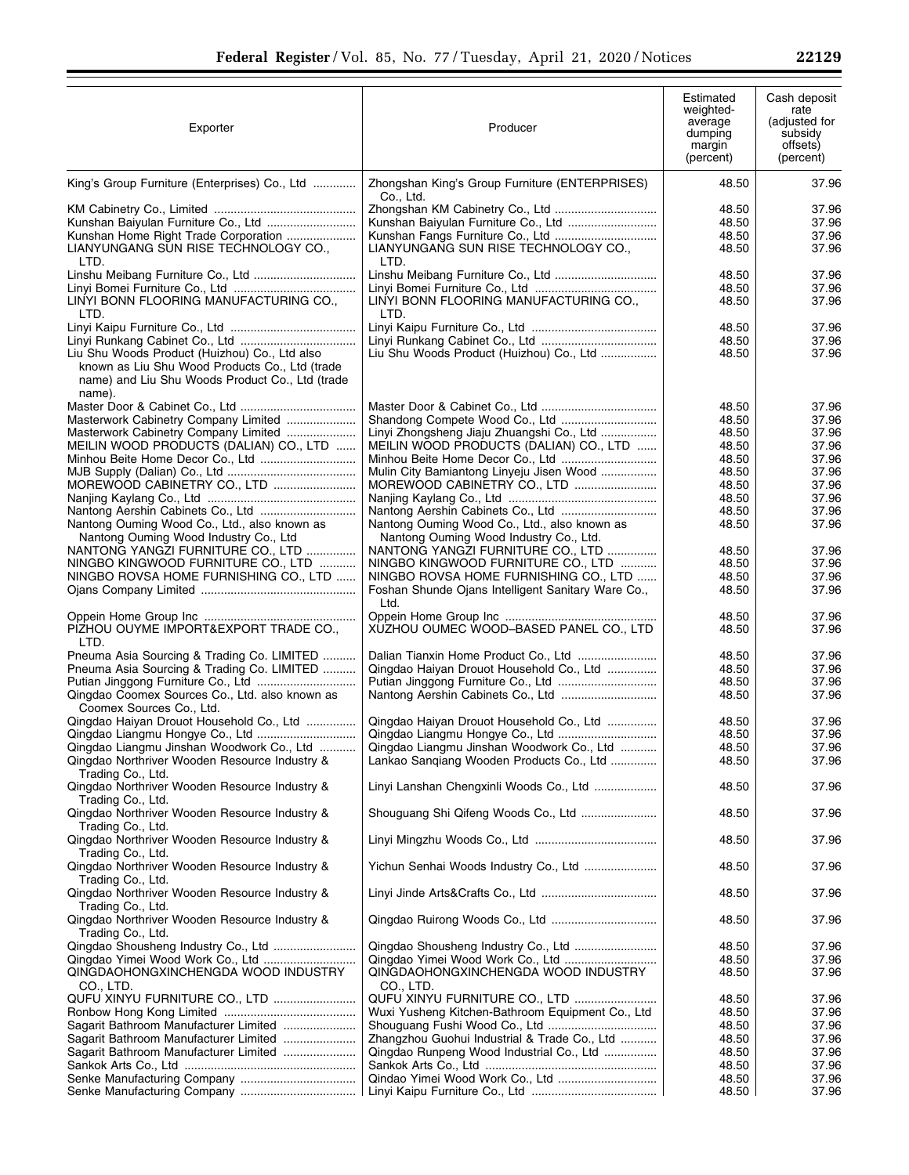| Exporter                                                                                                                                                               | Producer                                                                                                                                                            | Estimated<br>weighted-<br>average<br>dumping<br>margin<br>(percent) | Cash deposit<br>rate<br>(adjusted for<br>subsidy<br>offsets)<br>(percent) |
|------------------------------------------------------------------------------------------------------------------------------------------------------------------------|---------------------------------------------------------------------------------------------------------------------------------------------------------------------|---------------------------------------------------------------------|---------------------------------------------------------------------------|
| King's Group Furniture (Enterprises) Co., Ltd                                                                                                                          | Zhongshan King's Group Furniture (ENTERPRISES)<br>Co., Ltd.                                                                                                         | 48.50                                                               | 37.96                                                                     |
| Kunshan Baiyulan Furniture Co., Ltd<br>Kunshan Home Right Trade Corporation<br>LIANYUNGANG SUN RISE TECHNOLOGY CO.,<br>LTD.                                            | LIANYUNGANG SUN RISE TECHNOLOGY CO.,<br>LTD.                                                                                                                        | 48.50<br>48.50<br>48.50<br>48.50                                    | 37.96<br>37.96<br>37.96<br>37.96                                          |
| LINYI BONN FLOORING MANUFACTURING CO.,<br>LTD.                                                                                                                         | LINYI BONN FLOORING MANUFACTURING CO.,<br>LTD.                                                                                                                      | 48.50<br>48.50<br>48.50                                             | 37.96<br>37.96<br>37.96                                                   |
| Liu Shu Woods Product (Huizhou) Co., Ltd also<br>known as Liu Shu Wood Products Co., Ltd (trade<br>name) and Liu Shu Woods Product Co., Ltd (trade<br>name).           | Liu Shu Woods Product (Huizhou) Co., Ltd                                                                                                                            | 48.50<br>48.50<br>48.50                                             | 37.96<br>37.96<br>37.96                                                   |
| Masterwork Cabinetry Company Limited<br>Masterwork Cabinetry Company Limited<br>MEILIN WOOD PRODUCTS (DALIAN) CO., LTD<br>MOREWOOD CABINETRY CO., LTD                  | Linyi Zhongsheng Jiaju Zhuangshi Co., Ltd<br>MEILIN WOOD PRODUCTS (DALIAN) CO., LTD<br>Minhou Beite Home Decor Co., Ltd<br>Mulin City Bamiantong Linyeju Jisen Wood | 48.50<br>48.50<br>48.50<br>48.50<br>48.50<br>48.50<br>48.50         | 37.96<br>37.96<br>37.96<br>37.96<br>37.96<br>37.96<br>37.96               |
| Nantong Ouming Wood Co., Ltd., also known as<br>Nantong Ouming Wood Industry Co., Ltd<br>NANTONG YANGZI FURNITURE CO., LTD                                             | Nantong Ouming Wood Co., Ltd., also known as<br>Nantong Ouming Wood Industry Co., Ltd.<br>NANTONG YANGZI FURNITURE CO., LTD                                         | 48.50<br>48.50<br>48.50<br>48.50                                    | 37.96<br>37.96<br>37.96<br>37.96                                          |
| NINGBO KINGWOOD FURNITURE CO., LTD<br>NINGBO ROVSA HOME FURNISHING CO., LTD                                                                                            | NINGBO KINGWOOD FURNITURE CO., LTD<br>NINGBO ROVSA HOME FURNISHING CO., LTD<br>Foshan Shunde Ojans Intelligent Sanitary Ware Co.,<br>Ltd.                           | 48.50<br>48.50<br>48.50<br>48.50                                    | 37.96<br>37.96<br>37.96<br>37.96                                          |
| PIZHOU OUYME IMPORT&EXPORT TRADE CO.,<br>LTD.                                                                                                                          | XUZHOU OUMEC WOOD-BASED PANEL CO., LTD                                                                                                                              | 48.50                                                               | 37.96                                                                     |
| Pneuma Asia Sourcing & Trading Co. LIMITED<br>Pneuma Asia Sourcing & Trading Co. LIMITED<br>Qingdao Coomex Sources Co., Ltd. also known as<br>Coomex Sources Co., Ltd. | Qingdao Haiyan Drouot Household Co., Ltd                                                                                                                            | 48.50<br>48.50<br>48.50<br>48.50                                    | 37.96<br>37.96<br>37.96<br>37.96                                          |
| Qingdao Haiyan Drouot Household Co., Ltd<br>Qingdao Liangmu Jinshan Woodwork Co., Ltd<br>Qingdao Northriver Wooden Resource Industry &<br>Trading Co., Ltd.            | Qingdao Haiyan Drouot Household Co., Ltd<br>Qingdao Liangmu Jinshan Woodwork Co., Ltd<br>Lankao Sangiang Wooden Products Co., Ltd                                   | 48.50<br>48.50<br>48.50<br>48.50                                    | 37.96<br>37.96<br>37.96<br>37.96                                          |
| Qingdao Northriver Wooden Resource Industry &<br>Trading Co., Ltd.<br>Qingdao Northriver Wooden Resource Industry &                                                    | Linyi Lanshan Chengxinli Woods Co., Ltd                                                                                                                             | 48.50<br>48.50                                                      | 37.96<br>37.96                                                            |
| Trading Co., Ltd.<br>Qingdao Northriver Wooden Resource Industry &                                                                                                     |                                                                                                                                                                     | 48.50                                                               | 37.96                                                                     |
| Trading Co., Ltd.<br>Qingdao Northriver Wooden Resource Industry &                                                                                                     |                                                                                                                                                                     | 48.50                                                               | 37.96                                                                     |
| Trading Co., Ltd.<br>Qingdao Northriver Wooden Resource Industry &                                                                                                     |                                                                                                                                                                     | 48.50                                                               | 37.96                                                                     |
| Trading Co., Ltd.<br>Qingdao Northriver Wooden Resource Industry &<br>Trading Co., Ltd.                                                                                |                                                                                                                                                                     | 48.50                                                               | 37.96                                                                     |
| Qingdao Shousheng Industry Co., Ltd<br>Qingdao Yimei Wood Work Co., Ltd<br>QINGDAOHONGXINCHENGDA WOOD INDUSTRY<br>CO., LTD.                                            | QINGDAOHONGXINCHENGDA WOOD INDUSTRY<br>CO., LTD.                                                                                                                    | 48.50<br>48.50<br>48.50                                             | 37.96<br>37.96<br>37.96                                                   |
| QUFU XINYU FURNITURE CO., LTD<br>Sagarit Bathroom Manufacturer Limited<br>Sagarit Bathroom Manufacturer Limited                                                        | QUFU XINYU FURNITURE CO., LTD<br>Wuxi Yusheng Kitchen-Bathroom Equipment Co., Ltd<br>Zhangzhou Guohui Industrial & Trade Co., Ltd                                   | 48.50<br>48.50<br>48.50                                             | 37.96<br>37.96<br>37.96                                                   |
| Sagarit Bathroom Manufacturer Limited                                                                                                                                  | Qingdao Runpeng Wood Industrial Co., Ltd                                                                                                                            | 48.50<br>48.50<br>48.50<br>48.50<br>48.50                           | 37.96<br>37.96<br>37.96<br>37.96<br>37.96                                 |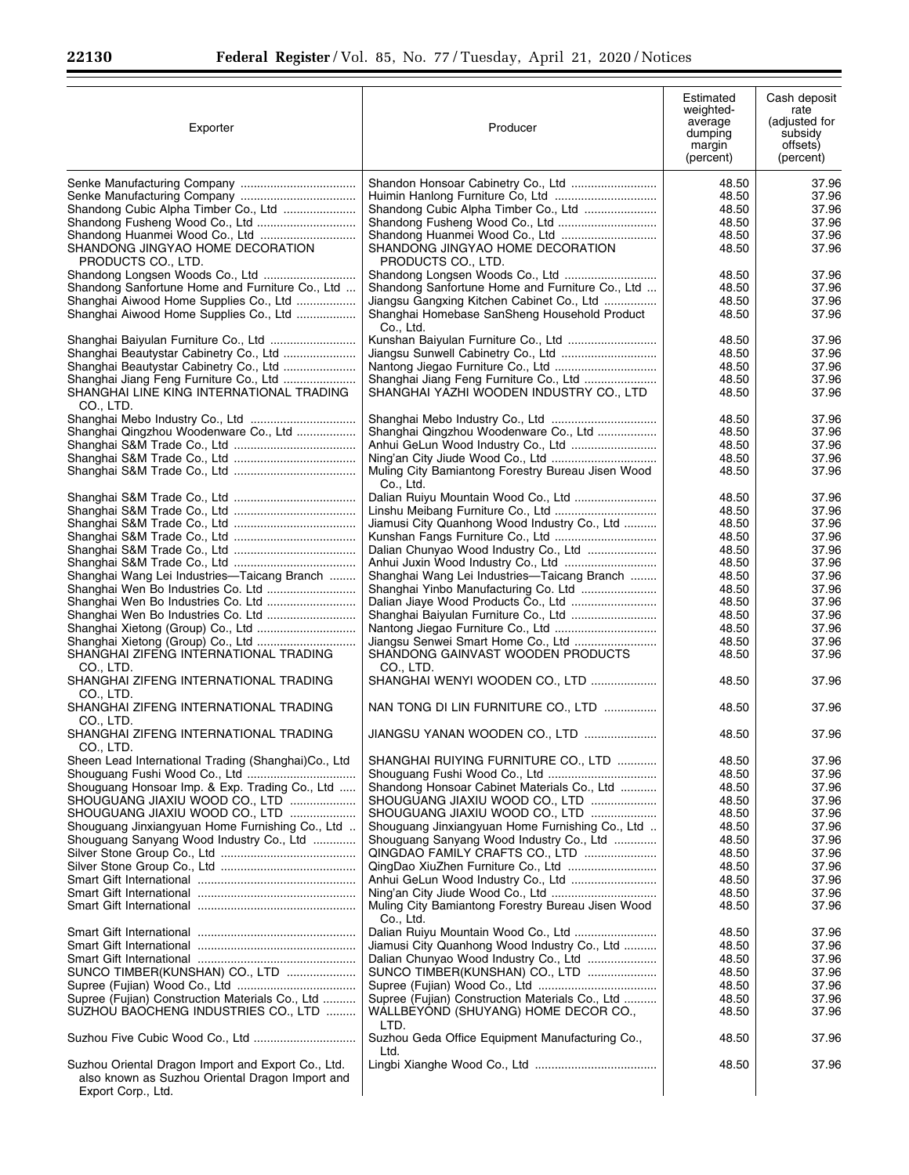Ξ

| Exporter                                                                         | Producer                                                | Estimated<br>weighted-<br>average<br>dumping<br>margin<br>(percent) | Cash deposit<br>rate<br>(adjusted for<br>subsidy<br>offsets)<br>(percent) |
|----------------------------------------------------------------------------------|---------------------------------------------------------|---------------------------------------------------------------------|---------------------------------------------------------------------------|
|                                                                                  |                                                         | 48.50                                                               | 37.96                                                                     |
|                                                                                  |                                                         | 48.50                                                               | 37.96                                                                     |
| Shandong Cubic Alpha Timber Co., Ltd                                             | Shandong Cubic Alpha Timber Co., Ltd                    | 48.50                                                               | 37.96                                                                     |
|                                                                                  | Shandong Fusheng Wood Co., Ltd                          | 48.50                                                               | 37.96                                                                     |
|                                                                                  |                                                         | 48.50                                                               | 37.96                                                                     |
| SHANDONG JINGYAO HOME DECORATION                                                 | SHANDONG JINGYAO HOME DECORATION                        | 48.50                                                               | 37.96                                                                     |
| PRODUCTS CO., LTD.                                                               | PRODUCTS CO., LTD.                                      |                                                                     |                                                                           |
|                                                                                  |                                                         | 48.50                                                               | 37.96                                                                     |
| Shandong Sanfortune Home and Furniture Co., Ltd                                  | Shandong Sanfortune Home and Furniture Co., Ltd         | 48.50                                                               | 37.96                                                                     |
| Shanghai Aiwood Home Supplies Co., Ltd                                           | Jiangsu Gangxing Kitchen Cabinet Co., Ltd               | 48.50                                                               | 37.96                                                                     |
| Shanghai Aiwood Home Supplies Co., Ltd                                           | Shanghai Homebase SanSheng Household Product            | 48.50                                                               | 37.96                                                                     |
|                                                                                  | Co., Ltd.                                               | 48.50                                                               | 37.96                                                                     |
| Shanghai Baiyulan Furniture Co., Ltd                                             | Kunshan Baiyulan Furniture Co., Ltd                     |                                                                     | 37.96                                                                     |
| Shanghai Beautystar Cabinetry Co., Ltd<br>Shanghai Beautystar Cabinetry Co., Ltd |                                                         | 48.50<br>48.50                                                      | 37.96                                                                     |
| Shanghai Jiang Feng Furniture Co., Ltd                                           | Shanghai Jiang Feng Furniture Co., Ltd                  | 48.50                                                               | 37.96                                                                     |
| SHANGHAI LINE KING INTERNATIONAL TRADING                                         | SHANGHAI YAZHI WOODEN INDUSTRY CO., LTD                 | 48.50                                                               | 37.96                                                                     |
| CO., LTD.                                                                        |                                                         |                                                                     |                                                                           |
|                                                                                  |                                                         | 48.50                                                               | 37.96                                                                     |
| Shanghai Qingzhou Woodenware Co., Ltd                                            | Shanghai Qingzhou Woodenware Co., Ltd                   | 48.50                                                               | 37.96                                                                     |
|                                                                                  |                                                         | 48.50                                                               | 37.96                                                                     |
|                                                                                  |                                                         | 48.50                                                               | 37.96                                                                     |
|                                                                                  | Muling City Bamiantong Forestry Bureau Jisen Wood       | 48.50                                                               | 37.96                                                                     |
|                                                                                  | Co., Ltd.                                               |                                                                     |                                                                           |
|                                                                                  |                                                         | 48.50                                                               | 37.96                                                                     |
|                                                                                  |                                                         | 48.50                                                               | 37.96                                                                     |
|                                                                                  | Jiamusi City Quanhong Wood Industry Co., Ltd            | 48.50                                                               | 37.96                                                                     |
|                                                                                  |                                                         | 48.50                                                               | 37.96                                                                     |
|                                                                                  |                                                         | 48.50                                                               | 37.96                                                                     |
|                                                                                  | Anhui Juxin Wood Industry Co., Ltd                      | 48.50                                                               | 37.96                                                                     |
| Shanghai Wang Lei Industries—Taicang Branch                                      | Shanghai Wang Lei Industries—Taicang Branch             | 48.50                                                               | 37.96                                                                     |
|                                                                                  | Shanghai Yinbo Manufacturing Co. Ltd                    | 48.50                                                               | 37.96                                                                     |
|                                                                                  |                                                         | 48.50                                                               | 37.96                                                                     |
|                                                                                  | Shanghai Baiyulan Furniture Co., Ltd                    | 48.50                                                               | 37.96                                                                     |
|                                                                                  | Nantong Jiegao Furniture Co., Ltd                       | 48.50                                                               | 37.96                                                                     |
|                                                                                  | Jiangsu Senwei Smart Home Co., Ltd                      | 48.50                                                               | 37.96                                                                     |
| SHANGHAI ZIFENG INTERNATIONAL TRADING                                            | SHANDONG GAINVAST WOODEN PRODUCTS                       | 48.50                                                               | 37.96                                                                     |
| CO., LTD.                                                                        | CO., LTD.                                               |                                                                     |                                                                           |
| SHANGHAI ZIFENG INTERNATIONAL TRADING                                            | SHANGHAI WENYI WOODEN CO., LTD                          | 48.50                                                               | 37.96                                                                     |
| CO., LTD.                                                                        |                                                         |                                                                     |                                                                           |
| SHANGHAI ZIFENG INTERNATIONAL TRADING                                            | NAN TONG DI LIN FURNITURE CO., LTD                      | 48.50                                                               | 37.96                                                                     |
| CO., LTD.                                                                        |                                                         |                                                                     |                                                                           |
| SHANGHAI ZIFENG INTERNATIONAL TRADING                                            | JIANGSU YANAN WOODEN CO., LTD                           | 48.50                                                               | 37.96                                                                     |
| CO., LTD.                                                                        |                                                         |                                                                     |                                                                           |
| Sheen Lead International Trading (Shanghai)Co., Ltd                              | SHANGHAI RUIYING FURNITURE CO., LTD                     | 48.50                                                               | 37.96                                                                     |
|                                                                                  | Shandong Honsoar Cabinet Materials Co., Ltd             | 48.50                                                               | 37.96                                                                     |
| Shouguang Honsoar Imp. & Exp. Trading Co., Ltd<br>SHOUGUANG JIAXIU WOOD CO., LTD | SHOUGUANG JIAXIU WOOD CO., LTD                          | 48.50<br>48.50                                                      | 37.96<br>37.96                                                            |
| SHOUGUANG JIAXIU WOOD CO., LTD                                                   | SHOUGUANG JIAXIU WOOD CO., LTD                          | 48.50                                                               | 37.96                                                                     |
| Shouguang Jinxiangyuan Home Furnishing Co., Ltd                                  | Shouguang Jinxiangyuan Home Furnishing Co., Ltd         | 48.50                                                               | 37.96                                                                     |
| Shouguang Sanyang Wood Industry Co., Ltd                                         | Shouguang Sanyang Wood Industry Co., Ltd                | 48.50                                                               | 37.96                                                                     |
|                                                                                  | QINGDAO FAMILY CRAFTS CO., LTD                          | 48.50                                                               | 37.96                                                                     |
|                                                                                  |                                                         | 48.50                                                               | 37.96                                                                     |
|                                                                                  |                                                         | 48.50                                                               | 37.96                                                                     |
|                                                                                  |                                                         | 48.50                                                               | 37.96                                                                     |
|                                                                                  | Muling City Bamiantong Forestry Bureau Jisen Wood       | 48.50                                                               | 37.96                                                                     |
|                                                                                  | Co., Ltd.                                               |                                                                     |                                                                           |
|                                                                                  | Dalian Ruiyu Mountain Wood Co., Ltd                     | 48.50                                                               | 37.96                                                                     |
|                                                                                  | Jiamusi City Quanhong Wood Industry Co., Ltd            | 48.50                                                               | 37.96                                                                     |
|                                                                                  | Dalian Chunyao Wood Industry Co., Ltd                   | 48.50                                                               | 37.96                                                                     |
| SUNCO TIMBER(KUNSHAN) CO., LTD                                                   | SUNCO TIMBER(KUNSHAN) CO., LTD                          | 48.50                                                               | 37.96                                                                     |
|                                                                                  |                                                         | 48.50                                                               | 37.96                                                                     |
| Supree (Fujian) Construction Materials Co., Ltd                                  | Supree (Fujian) Construction Materials Co., Ltd         | 48.50                                                               | 37.96                                                                     |
| SUZHOU BAOCHENG INDUSTRIES CO., LTD                                              | WALLBEYOND (SHUYANG) HOME DECOR CO.,                    | 48.50                                                               | 37.96                                                                     |
|                                                                                  | LTD.                                                    |                                                                     |                                                                           |
|                                                                                  | Suzhou Geda Office Equipment Manufacturing Co.,<br>Ltd. | 48.50                                                               | 37.96                                                                     |
| Suzhou Oriental Dragon Import and Export Co., Ltd.                               |                                                         | 48.50                                                               | 37.96                                                                     |
| also known as Suzhou Oriental Dragon Import and<br>Export Corp., Ltd.            |                                                         |                                                                     |                                                                           |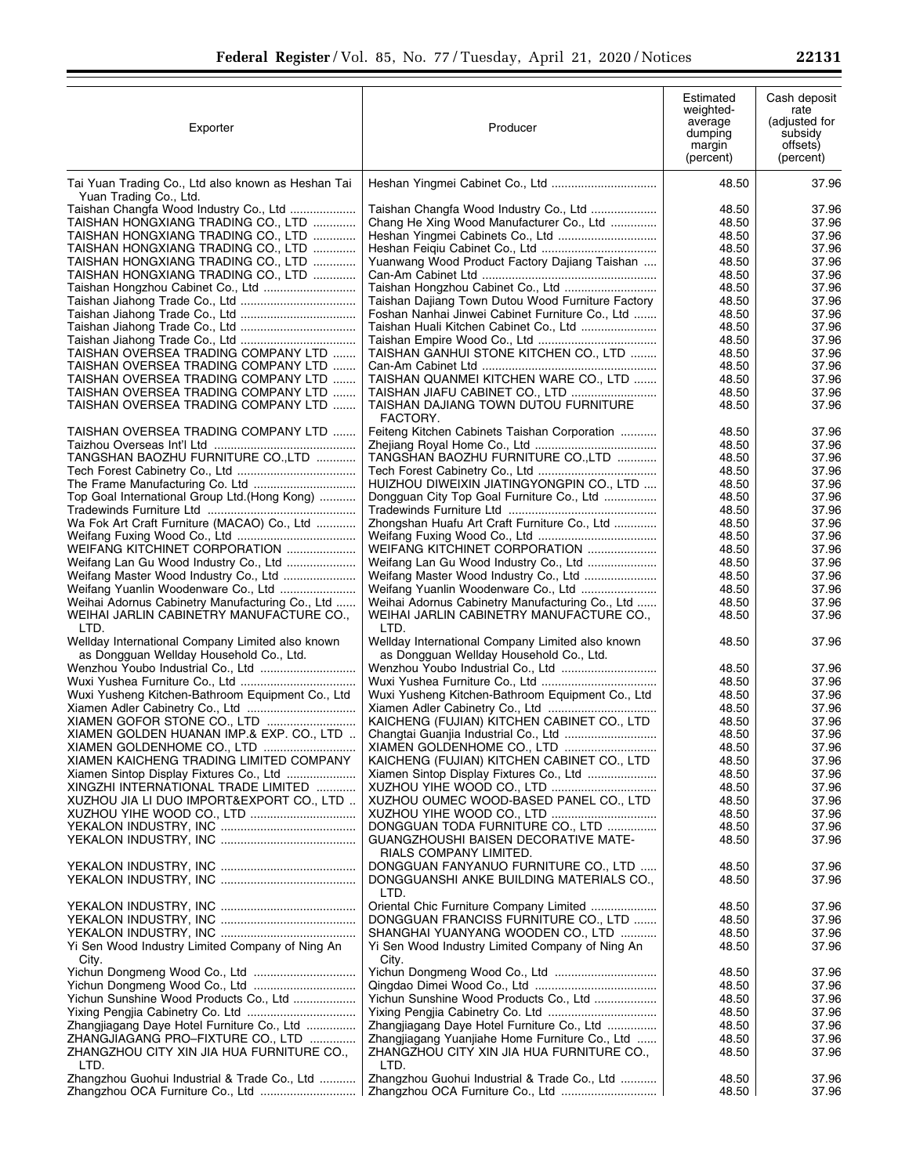| Exporter                                                                                            | Producer                                                                                            | Estimated<br>weighted-<br>average<br>dumping<br>margin<br>(percent) | Cash deposit<br>rate<br>(adjusted for<br>subsidy<br>offsets)<br>(percent) |
|-----------------------------------------------------------------------------------------------------|-----------------------------------------------------------------------------------------------------|---------------------------------------------------------------------|---------------------------------------------------------------------------|
| Tai Yuan Trading Co., Ltd also known as Heshan Tai                                                  |                                                                                                     | 48.50                                                               | 37.96                                                                     |
| Yuan Trading Co., Ltd.<br>Taishan Changfa Wood Industry Co., Ltd                                    | Taishan Changfa Wood Industry Co., Ltd                                                              | 48.50                                                               | 37.96                                                                     |
| TAISHAN HONGXIANG TRADING CO., LTD                                                                  | Chang He Xing Wood Manufacturer Co., Ltd                                                            | 48.50                                                               | 37.96                                                                     |
| TAISHAN HONGXIANG TRADING CO., LTD                                                                  |                                                                                                     | 48.50                                                               | 37.96                                                                     |
| TAISHAN HONGXIANG TRADING CO., LTD                                                                  |                                                                                                     | 48.50                                                               | 37.96                                                                     |
| TAISHAN HONGXIANG TRADING CO., LTD                                                                  | Yuanwang Wood Product Factory Dajiang Taishan                                                       | 48.50                                                               | 37.96                                                                     |
| TAISHAN HONGXIANG TRADING CO., LTD                                                                  |                                                                                                     | 48.50                                                               | 37.96                                                                     |
|                                                                                                     | Taishan Hongzhou Cabinet Co., Ltd                                                                   | 48.50                                                               | 37.96                                                                     |
|                                                                                                     | Taishan Dajiang Town Dutou Wood Furniture Factory                                                   | 48.50                                                               | 37.96                                                                     |
|                                                                                                     | Foshan Nanhai Jinwei Cabinet Furniture Co., Ltd                                                     | 48.50<br>48.50                                                      | 37.96<br>37.96                                                            |
|                                                                                                     |                                                                                                     | 48.50                                                               | 37.96                                                                     |
| TAISHAN OVERSEA TRADING COMPANY LTD                                                                 | TAISHAN GANHUI STONE KITCHEN CO., LTD                                                               | 48.50                                                               | 37.96                                                                     |
| TAISHAN OVERSEA TRADING COMPANY LTD                                                                 |                                                                                                     | 48.50                                                               | 37.96                                                                     |
| TAISHAN OVERSEA TRADING COMPANY LTD                                                                 | TAISHAN QUANMEI KITCHEN WARE CO., LTD                                                               | 48.50                                                               | 37.96                                                                     |
| TAISHAN OVERSEA TRADING COMPANY LTD                                                                 | TAISHAN JIAFU CABINET CO., LTD                                                                      | 48.50                                                               | 37.96                                                                     |
| TAISHAN OVERSEA TRADING COMPANY LTD                                                                 | TAISHAN DAJIANG TOWN DUTOU FURNITURE<br>FACTORY.                                                    | 48.50                                                               | 37.96                                                                     |
| TAISHAN OVERSEA TRADING COMPANY LTD                                                                 | Feiteng Kitchen Cabinets Taishan Corporation                                                        | 48.50                                                               | 37.96                                                                     |
|                                                                                                     |                                                                                                     | 48.50                                                               | 37.96                                                                     |
| TANGSHAN BAOZHU FURNITURE CO., LTD                                                                  | TANGSHAN BAOZHU FURNITURE CO., LTD                                                                  | 48.50<br>48.50                                                      | 37.96<br>37.96                                                            |
|                                                                                                     | HUIZHOU DIWEIXIN JIATINGYONGPIN CO., LTD                                                            | 48.50                                                               | 37.96                                                                     |
| Top Goal International Group Ltd.(Hong Kong)                                                        | Dongguan City Top Goal Furniture Co., Ltd                                                           | 48.50                                                               | 37.96                                                                     |
|                                                                                                     |                                                                                                     | 48.50                                                               | 37.96                                                                     |
| Wa Fok Art Craft Furniture (MACAO) Co., Ltd                                                         | Zhongshan Huafu Art Craft Furniture Co., Ltd                                                        | 48.50                                                               | 37.96                                                                     |
|                                                                                                     |                                                                                                     | 48.50                                                               | 37.96                                                                     |
| WEIFANG KITCHINET CORPORATION                                                                       | WEIFANG KITCHINET CORPORATION                                                                       | 48.50                                                               | 37.96                                                                     |
| Weifang Lan Gu Wood Industry Co., Ltd                                                               |                                                                                                     | 48.50                                                               | 37.96                                                                     |
| Weifang Master Wood Industry Co., Ltd                                                               |                                                                                                     | 48.50                                                               | 37.96                                                                     |
| Weifang Yuanlin Woodenware Co., Ltd                                                                 |                                                                                                     | 48.50                                                               | 37.96                                                                     |
| Weihai Adornus Cabinetry Manufacturing Co., Ltd<br>WEIHAI JARLIN CABINETRY MANUFACTURE CO.,<br>LTD. | Weihai Adornus Cabinetry Manufacturing Co., Ltd<br>WEIHAI JARLIN CABINETRY MANUFACTURE CO.,<br>LTD. | 48.50<br>48.50                                                      | 37.96<br>37.96                                                            |
| Wellday International Company Limited also known<br>as Dongguan Wellday Household Co., Ltd.         | Wellday International Company Limited also known<br>as Dongguan Wellday Household Co., Ltd.         | 48.50                                                               | 37.96                                                                     |
|                                                                                                     |                                                                                                     | 48.50                                                               | 37.96                                                                     |
|                                                                                                     |                                                                                                     | 48.50                                                               | 37.96                                                                     |
| Wuxi Yusheng Kitchen-Bathroom Equipment Co., Ltd                                                    | Wuxi Yusheng Kitchen-Bathroom Equipment Co., Ltd                                                    | 48.50                                                               | 37.96                                                                     |
|                                                                                                     |                                                                                                     | 48.50                                                               | 37.96                                                                     |
| XIAMEN GOFOR STONE CO., LTD                                                                         | KAICHENG (FUJIAN) KITCHEN CABINET CO., LTD                                                          | 48.50                                                               | 37.96                                                                     |
| XIAMEN GOLDEN HUANAN IMP.& EXP. CO., LTD                                                            |                                                                                                     | 48.50                                                               | 37.96                                                                     |
| XIAMEN GOLDENHOME CO., LTD<br>XIAMEN KAICHENG TRADING LIMITED COMPANY                               | KAICHENG (FUJIAN) KITCHEN CABINET CO., LTD                                                          | 48.50<br>48.50                                                      | 37.96<br>37.96                                                            |
| Xiamen Sintop Display Fixtures Co., Ltd                                                             |                                                                                                     | 48.50                                                               | 37.96                                                                     |
| XINGZHI INTERNATIONAL TRADE LIMITED                                                                 |                                                                                                     | 48.50                                                               | 37.96                                                                     |
| XUZHOU JIA LI DUO IMPORT&EXPORT CO., LTD                                                            | XUZHOU OUMEC WOOD-BASED PANEL CO., LTD                                                              | 48.50                                                               | 37.96                                                                     |
|                                                                                                     |                                                                                                     | 48.50                                                               | 37.96                                                                     |
|                                                                                                     | DONGGUAN TODA FURNITURE CO., LTD                                                                    | 48.50                                                               | 37.96                                                                     |
|                                                                                                     | GUANGZHOUSHI BAISEN DECORATIVE MATE-                                                                | 48.50                                                               | 37.96                                                                     |
|                                                                                                     | RIALS COMPANY LIMITED.                                                                              |                                                                     |                                                                           |
|                                                                                                     | DONGGUAN FANYANUO FURNITURE CO., LTD<br>DONGGUANSHI ANKE BUILDING MATERIALS CO.,                    | 48.50<br>48.50                                                      | 37.96<br>37.96                                                            |
|                                                                                                     | LTD.<br>Oriental Chic Furniture Company Limited                                                     | 48.50                                                               | 37.96                                                                     |
|                                                                                                     | DONGGUAN FRANCISS FURNITURE CO., LTD                                                                | 48.50                                                               | 37.96                                                                     |
|                                                                                                     | SHANGHAI YUANYANG WOODEN CO., LTD                                                                   | 48.50                                                               | 37.96                                                                     |
| Yi Sen Wood Industry Limited Company of Ning An<br>City.                                            | Yi Sen Wood Industry Limited Company of Ning An<br>City.                                            | 48.50                                                               | 37.96                                                                     |
|                                                                                                     |                                                                                                     | 48.50                                                               | 37.96                                                                     |
|                                                                                                     |                                                                                                     | 48.50                                                               | 37.96                                                                     |
| Yichun Sunshine Wood Products Co., Ltd                                                              | Yichun Sunshine Wood Products Co., Ltd                                                              | 48.50                                                               | 37.96                                                                     |
|                                                                                                     |                                                                                                     | 48.50                                                               | 37.96                                                                     |
| Zhangjiagang Daye Hotel Furniture Co., Ltd                                                          | Zhangjiagang Daye Hotel Furniture Co., Ltd                                                          | 48.50                                                               | 37.96                                                                     |
| ZHANGJIAGANG PRO-FIXTURE CO., LTD<br>ZHANGZHOU CITY XIN JIA HUA FURNITURE CO.,                      | Zhangjiagang Yuanjiahe Home Furniture Co., Ltd<br>ZHANGZHOU CITY XIN JIA HUA FURNITURE CO.,         | 48.50<br>48.50                                                      | 37.96<br>37.96                                                            |
| LTD.<br>Zhangzhou Guohui Industrial & Trade Co., Ltd                                                | LTD.<br>Zhangzhou Guohui Industrial & Trade Co., Ltd                                                | 48.50                                                               | 37.96                                                                     |
|                                                                                                     |                                                                                                     | 48.50                                                               | 37.96                                                                     |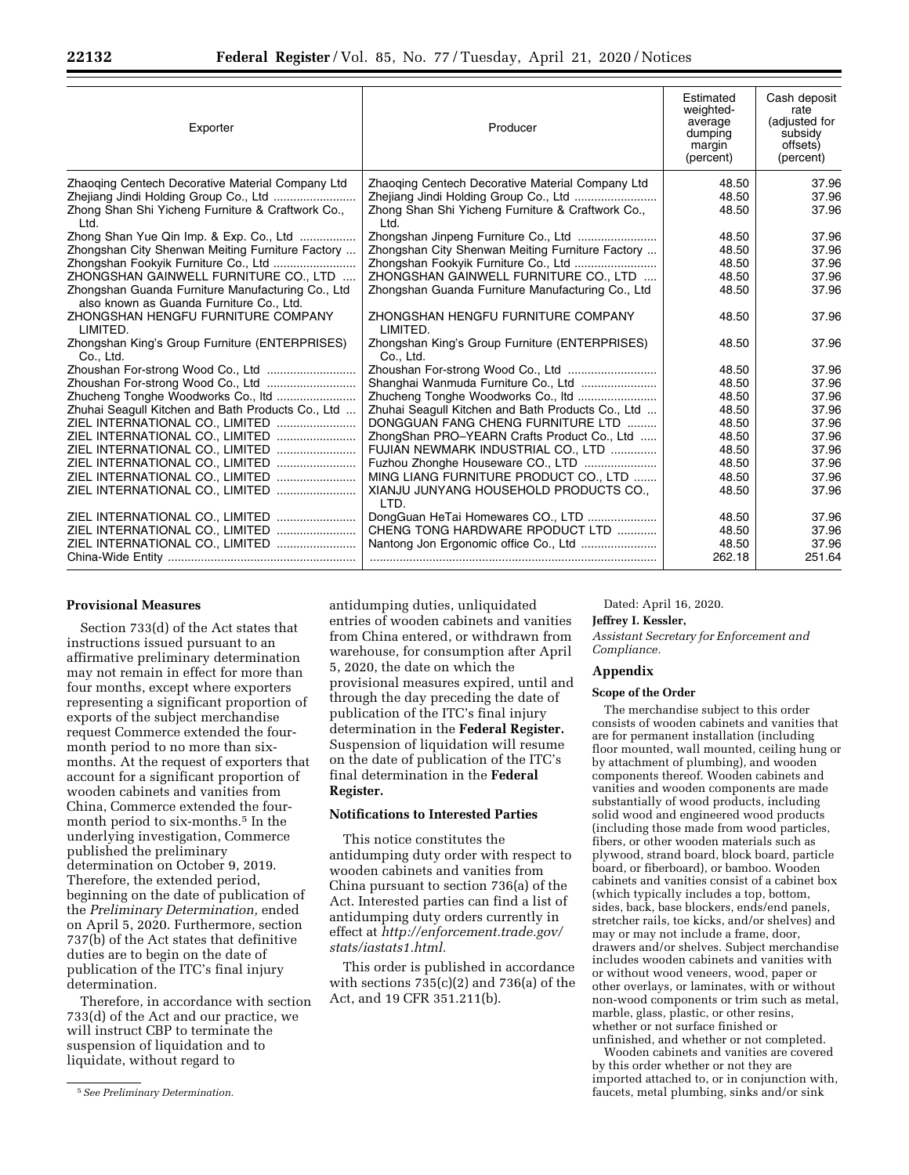| Exporter                                                                                      | Producer                                                    | Estimated<br>weighted-<br>average<br>dumping<br>margin<br>(percent) | Cash deposit<br>rate<br>(adjusted for<br>subsidy<br>offsets)<br>(percent) |
|-----------------------------------------------------------------------------------------------|-------------------------------------------------------------|---------------------------------------------------------------------|---------------------------------------------------------------------------|
| Zhaoging Centech Decorative Material Company Ltd                                              | Zhaoging Centech Decorative Material Company Ltd            | 48.50                                                               | 37.96                                                                     |
|                                                                                               |                                                             | 48.50                                                               | 37.96                                                                     |
| Zhong Shan Shi Yicheng Furniture & Craftwork Co.,<br>Ltd.                                     | Zhong Shan Shi Yicheng Furniture & Craftwork Co.,<br>Ltd.   | 48.50                                                               | 37.96                                                                     |
| Zhong Shan Yue Qin Imp. & Exp. Co., Ltd                                                       |                                                             | 48.50                                                               | 37.96                                                                     |
| Zhongshan City Shenwan Meiting Furniture Factory                                              | Zhongshan City Shenwan Meiting Furniture Factory            | 48.50                                                               | 37.96                                                                     |
| Zhongshan Fookyik Furniture Co., Ltd                                                          |                                                             | 48.50                                                               | 37.96                                                                     |
| ZHONGSHAN GAINWELL FURNITURE CO., LTD                                                         | ZHONGSHAN GAINWELL FURNITURE CO., LTD                       | 48.50                                                               | 37.96                                                                     |
| Zhongshan Guanda Furniture Manufacturing Co., Ltd<br>also known as Guanda Furniture Co., Ltd. | Zhongshan Guanda Furniture Manufacturing Co., Ltd           | 48.50                                                               | 37.96                                                                     |
| ZHONGSHAN HENGFU FURNITURE COMPANY<br>LIMITED.                                                | ZHONGSHAN HENGFU FURNITURE COMPANY<br>LIMITED.              | 48.50                                                               | 37.96                                                                     |
| Zhongshan King's Group Furniture (ENTERPRISES)<br>Co., Ltd.                                   | Zhongshan King's Group Furniture (ENTERPRISES)<br>Co., Ltd. | 48.50                                                               | 37.96                                                                     |
|                                                                                               |                                                             | 48.50                                                               | 37.96                                                                     |
|                                                                                               |                                                             | 48.50                                                               | 37.96                                                                     |
|                                                                                               |                                                             | 48.50                                                               | 37.96                                                                     |
| Zhuhai Seagull Kitchen and Bath Products Co., Ltd                                             | Zhuhai Seagull Kitchen and Bath Products Co., Ltd           | 48.50                                                               | 37.96                                                                     |
| ZIEL INTERNATIONAL CO., LIMITED                                                               | DONGGUAN FANG CHENG FURNITURE LTD                           | 48.50                                                               | 37.96                                                                     |
| ZIEL INTERNATIONAL CO., LIMITED                                                               | ZhongShan PRO-YEARN Crafts Product Co., Ltd                 | 48.50                                                               | 37.96                                                                     |
| ZIEL INTERNATIONAL CO., LIMITED                                                               | FUJIAN NEWMARK INDUSTRIAL CO., LTD                          | 48.50                                                               | 37.96                                                                     |
| ZIEL INTERNATIONAL CO., LIMITED                                                               | Fuzhou Zhonghe Houseware CO., LTD                           | 48.50                                                               | 37.96                                                                     |
| ZIEL INTERNATIONAL CO., LIMITED                                                               | MING LIANG FURNITURE PRODUCT CO., LTD                       | 48.50                                                               | 37.96                                                                     |
| ZIEL INTERNATIONAL CO., LIMITED                                                               | XIANJU JUNYANG HOUSEHOLD PRODUCTS CO.,<br>I TD.             | 48.50                                                               | 37.96                                                                     |
| ZIEL INTERNATIONAL CO., LIMITED                                                               | DongGuan HeTai Homewares CO., LTD                           | 48.50                                                               | 37.96                                                                     |
| ZIEL INTERNATIONAL CO., LIMITED                                                               | CHENG TONG HARDWARE RPODUCT LTD                             | 48.50                                                               | 37.96                                                                     |
| ZIEL INTERNATIONAL CO., LIMITED                                                               | Nantong Jon Ergonomic office Co., Ltd                       | 48.50<br>262.18                                                     | 37.96<br>251.64                                                           |
|                                                                                               |                                                             |                                                                     |                                                                           |

# **Provisional Measures**

Section 733(d) of the Act states that instructions issued pursuant to an affirmative preliminary determination may not remain in effect for more than four months, except where exporters representing a significant proportion of exports of the subject merchandise request Commerce extended the fourmonth period to no more than sixmonths. At the request of exporters that account for a significant proportion of wooden cabinets and vanities from China, Commerce extended the fourmonth period to six-months.5 In the underlying investigation, Commerce published the preliminary determination on October 9, 2019. Therefore, the extended period, beginning on the date of publication of the *Preliminary Determination,* ended on April 5, 2020. Furthermore, section 737(b) of the Act states that definitive duties are to begin on the date of publication of the ITC's final injury determination.

Therefore, in accordance with section 733(d) of the Act and our practice, we will instruct CBP to terminate the suspension of liquidation and to liquidate, without regard to

5*See Preliminary Determination.* 

antidumping duties, unliquidated entries of wooden cabinets and vanities from China entered, or withdrawn from warehouse, for consumption after April 5, 2020, the date on which the provisional measures expired, until and through the day preceding the date of publication of the ITC's final injury determination in the **Federal Register.**  Suspension of liquidation will resume on the date of publication of the ITC's final determination in the **Federal Register.** 

### **Notifications to Interested Parties**

This notice constitutes the antidumping duty order with respect to wooden cabinets and vanities from China pursuant to section 736(a) of the Act. Interested parties can find a list of antidumping duty orders currently in effect at *[http://enforcement.trade.gov/](http://enforcement.trade.gov/stats/iastats1.html) [stats/iastats1.html.](http://enforcement.trade.gov/stats/iastats1.html)* 

This order is published in accordance with sections  $735(c)(2)$  and  $736(a)$  of the Act, and 19 CFR 351.211(b).

Dated: April 16, 2020.

#### **Jeffrey I. Kessler,**

*Assistant Secretary for Enforcement and Compliance.* 

# **Appendix**

#### **Scope of the Order**

The merchandise subject to this order consists of wooden cabinets and vanities that are for permanent installation (including floor mounted, wall mounted, ceiling hung or by attachment of plumbing), and wooden components thereof. Wooden cabinets and vanities and wooden components are made substantially of wood products, including solid wood and engineered wood products (including those made from wood particles, fibers, or other wooden materials such as plywood, strand board, block board, particle board, or fiberboard), or bamboo. Wooden cabinets and vanities consist of a cabinet box (which typically includes a top, bottom, sides, back, base blockers, ends/end panels, stretcher rails, toe kicks, and/or shelves) and may or may not include a frame, door, drawers and/or shelves. Subject merchandise includes wooden cabinets and vanities with or without wood veneers, wood, paper or other overlays, or laminates, with or without non-wood components or trim such as metal, marble, glass, plastic, or other resins, whether or not surface finished or unfinished, and whether or not completed.

Wooden cabinets and vanities are covered by this order whether or not they are imported attached to, or in conjunction with, faucets, metal plumbing, sinks and/or sink